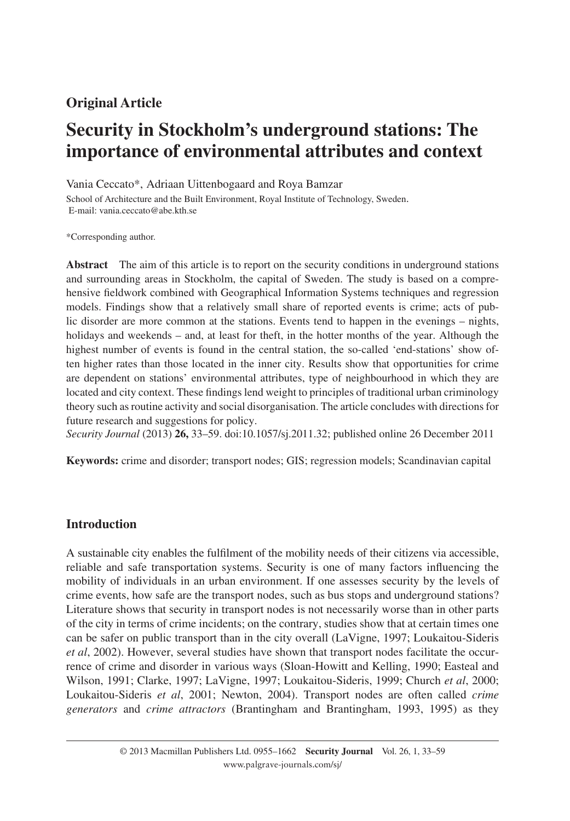# **Original Article**

# **Security in Stockholm's underground stations: The importance of environmental attributes and context**

Vania Ceccato\*, Adriaan Uittenbogaard and Roya Bamzar

School of Architecture and the Built Environment, Royal Institute of Technology, Sweden. E-mail: vania.ceccato@abe.kth.se

\* Corresponding author.

**Abstract** The aim of this article is to report on the security conditions in underground stations and surrounding areas in Stockholm, the capital of Sweden. The study is based on a comprehensive fieldwork combined with Geographical Information Systems techniques and regression models. Findings show that a relatively small share of reported events is crime; acts of public disorder are more common at the stations. Events tend to happen in the evenings – nights, holidays and weekends – and, at least for theft, in the hotter months of the year. Although the highest number of events is found in the central station, the so-called 'end-stations' show often higher rates than those located in the inner city. Results show that opportunities for crime are dependent on stations' environmental attributes, type of neighbourhood in which they are located and city context. These findings lend weight to principles of traditional urban criminology theory such as routine activity and social disorganisation. The article concludes with directions for future research and suggestions for policy.

*Security Journal* (2013) **26,** 33 – 59. doi: 10.1057/sj.2011.32 ; published online 26 December 2011

Keywords: crime and disorder; transport nodes; GIS; regression models; Scandinavian capital

### **Introduction**

A sustainable city enables the fulfilment of the mobility needs of their citizens via accessible, reliable and safe transportation systems. Security is one of many factors influencing the mobility of individuals in an urban environment. If one assesses security by the levels of crime events, how safe are the transport nodes, such as bus stops and underground stations? Literature shows that security in transport nodes is not necessarily worse than in other parts of the city in terms of crime incidents; on the contrary, studies show that at certain times one can be safer on public transport than in the city overall ( LaVigne, 1997 ; Loukaitou-Sideris *et al*, 2002). However, several studies have shown that transport nodes facilitate the occurrence of crime and disorder in various ways (Sloan-Howitt and Kelling, 1990; Easteal and Wilson, 1991; Clarke, 1997; LaVigne, 1997; Loukaitou-Sideris, 1999; Church *et al.* 2000; Loukaitou-Sideris et al, 2001; Newton, 2004). Transport nodes are often called *crime generators* and *crime attractors* ( Brantingham and Brantingham, 1993, 1995 ) as they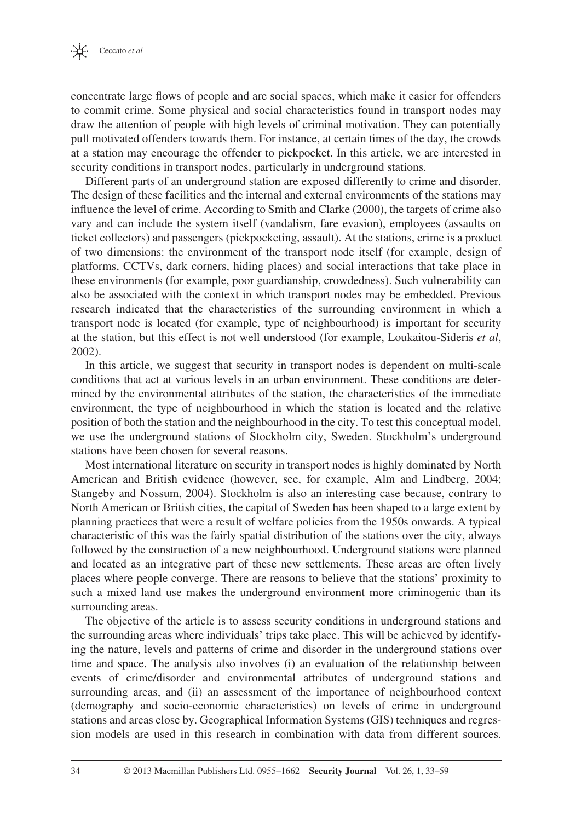

concentrate large flows of people and are social spaces, which make it easier for offenders to commit crime. Some physical and social characteristics found in transport nodes may draw the attention of people with high levels of criminal motivation. They can potentially pull motivated offenders towards them. For instance, at certain times of the day, the crowds at a station may encourage the offender to pickpocket. In this article, we are interested in security conditions in transport nodes, particularly in underground stations.

 Different parts of an underground station are exposed differently to crime and disorder. The design of these facilities and the internal and external environments of the stations may influence the level of crime. According to Smith and Clarke (2000), the targets of crime also vary and can include the system itself (vandalism, fare evasion), employees (assaults on ticket collectors) and passengers (pickpocketing, assault). At the stations, crime is a product of two dimensions: the environment of the transport node itself (for example, design of platforms, CCTVs, dark corners, hiding places) and social interactions that take place in these environments (for example, poor guardianship, crowdedness). Such vulnerability can also be associated with the context in which transport nodes may be embedded. Previous research indicated that the characteristics of the surrounding environment in which a transport node is located (for example, type of neighbourhood) is important for security at the station, but this effect is not well understood (for example, Loukaitou-Sideris *et al* , 2002).

 In this article, we suggest that security in transport nodes is dependent on multi-scale conditions that act at various levels in an urban environment. These conditions are determined by the environmental attributes of the station, the characteristics of the immediate environment, the type of neighbourhood in which the station is located and the relative position of both the station and the neighbourhood in the city. To test this conceptual model, we use the underground stations of Stockholm city, Sweden. Stockholm's underground stations have been chosen for several reasons.

 Most international literature on security in transport nodes is highly dominated by North American and British evidence (however, see, for example, Alm and Lindberg, 2004; Stangeby and Nossum, 2004). Stockholm is also an interesting case because, contrary to North American or British cities, the capital of Sweden has been shaped to a large extent by planning practices that were a result of welfare policies from the 1950s onwards. A typical characteristic of this was the fairly spatial distribution of the stations over the city, always followed by the construction of a new neighbourhood. Underground stations were planned and located as an integrative part of these new settlements. These areas are often lively places where people converge. There are reasons to believe that the stations ' proximity to such a mixed land use makes the underground environment more criminogenic than its surrounding areas.

 The objective of the article is to assess security conditions in underground stations and the surrounding areas where individuals' trips take place. This will be achieved by identifying the nature, levels and patterns of crime and disorder in the underground stations over time and space. The analysis also involves (i) an evaluation of the relationship between events of crime/disorder and environmental attributes of underground stations and surrounding areas, and (ii) an assessment of the importance of neighbourhood context (demography and socio-economic characteristics) on levels of crime in underground stations and areas close by. Geographical Information Systems (GIS) techniques and regression models are used in this research in combination with data from different sources.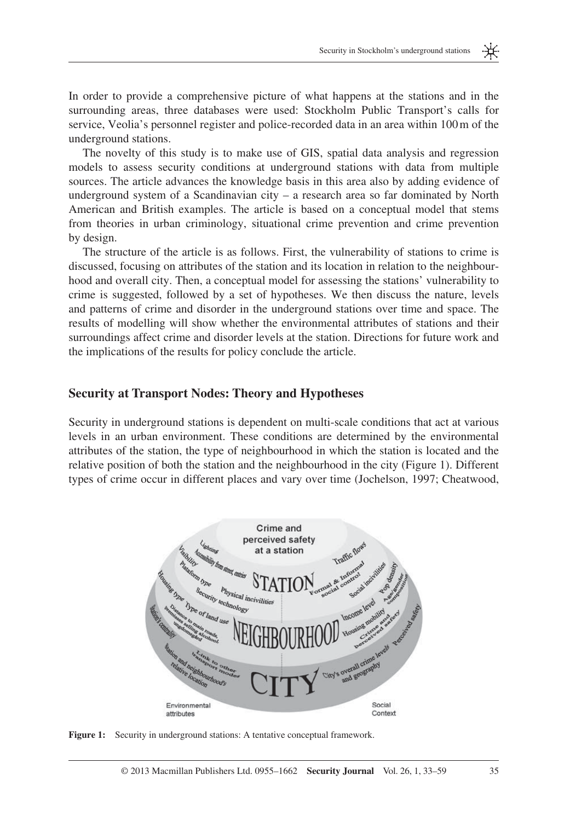

 The novelty of this study is to make use of GIS, spatial data analysis and regression models to assess security conditions at underground stations with data from multiple sources. The article advances the knowledge basis in this area also by adding evidence of underground system of a Scandinavian city – a research area so far dominated by North American and British examples. The article is based on a conceptual model that stems from theories in urban criminology, situational crime prevention and crime prevention by design.

 The structure of the article is as follows. First, the vulnerability of stations to crime is discussed, focusing on attributes of the station and its location in relation to the neighbourhood and overall city. Then, a conceptual model for assessing the stations' vulnerability to crime is suggested, followed by a set of hypotheses. We then discuss the nature, levels and patterns of crime and disorder in the underground stations over time and space. The results of modelling will show whether the environmental attributes of stations and their surroundings affect crime and disorder levels at the station. Directions for future work and the implications of the results for policy conclude the article.

#### **Security at Transport Nodes: Theory and Hypotheses**

 Security in underground stations is dependent on multi-scale conditions that act at various levels in an urban environment. These conditions are determined by the environmental attributes of the station, the type of neighbourhood in which the station is located and the relative position of both the station and the neighbourhood in the city (Figure 1). Different types of crime occur in different places and vary over time (Jochelson, 1997; Cheatwood,



**Figure 1:** Security in underground stations: A tentative conceptual framework.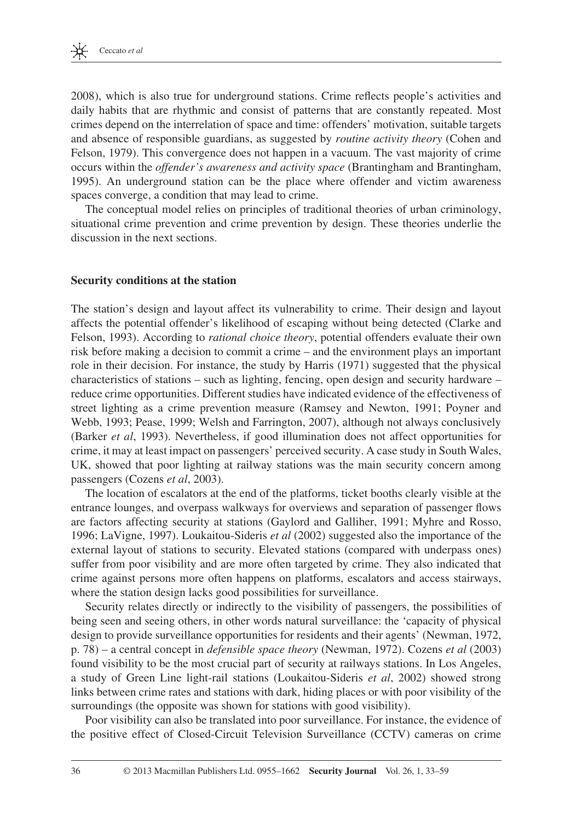2008), which is also true for underground stations. Crime reflects people's activities and daily habits that are rhythmic and consist of patterns that are constantly repeated. Most crimes depend on the interrelation of space and time: offenders ' motivation, suitable targets and absence of responsible guardians, as suggested by *routine activity theory* (Cohen and Felson, 1979). This convergence does not happen in a vacuum. The vast majority of crime occurs within the *offender ' s awareness and activity space* ( Brantingham and Brantingham, 1995). An underground station can be the place where offender and victim awareness spaces converge, a condition that may lead to crime.

 The conceptual model relies on principles of traditional theories of urban criminology, situational crime prevention and crime prevention by design. These theories underlie the discussion in the next sections.

### **Security conditions at the station**

The station's design and layout affect its vulnerability to crime. Their design and layout affects the potential offender's likelihood of escaping without being detected (Clarke and Felson, 1993). According to *rational choice theory*, potential offenders evaluate their own risk before making a decision to commit a crime – and the environment plays an important role in their decision. For instance, the study by Harris (1971) suggested that the physical characteristics of stations – such as lighting, fencing, open design and security hardware – reduce crime opportunities. Different studies have indicated evidence of the effectiveness of street lighting as a crime prevention measure (Ramsey and Newton, 1991; Poyner and Webb, 1993; Pease, 1999; Welsh and Farrington, 2007), although not always conclusively (Barker *et al*, 1993). Nevertheless, if good illumination does not affect opportunities for crime, it may at least impact on passengers ' perceived security. A case study in South Wales, UK, showed that poor lighting at railway stations was the main security concern among passengers (Cozens *et al*, 2003).

 The location of escalators at the end of the platforms, ticket booths clearly visible at the entrance lounges, and overpass walkways for overviews and separation of passenger flows are factors affecting security at stations (Gaylord and Galliher, 1991; Myhre and Rosso, 1996 ; LaVigne, 1997 ). Loukaitou-Sideris *et al* (2002) suggested also the importance of the external layout of stations to security. Elevated stations (compared with underpass ones) suffer from poor visibility and are more often targeted by crime. They also indicated that crime against persons more often happens on platforms, escalators and access stairways, where the station design lacks good possibilities for surveillance.

 Security relates directly or indirectly to the visibility of passengers, the possibilities of being seen and seeing others, in other words natural surveillance: the 'capacity of physical design to provide surveillance opportunities for residents and their agents' (Newman, 1972, p. 78) – a central concept in *defensible space theory* ( Newman, 1972 ). Cozens *et al* (2003) found visibility to be the most crucial part of security at railways stations. In Los Angeles, a study of Green Line light-rail stations ( Loukaitou-Sideris *et al* , 2002 ) showed strong links between crime rates and stations with dark, hiding places or with poor visibility of the surroundings (the opposite was shown for stations with good visibility).

 Poor visibility can also be translated into poor surveillance. For instance, the evidence of the positive effect of Closed-Circuit Television Surveillance (CCTV) cameras on crime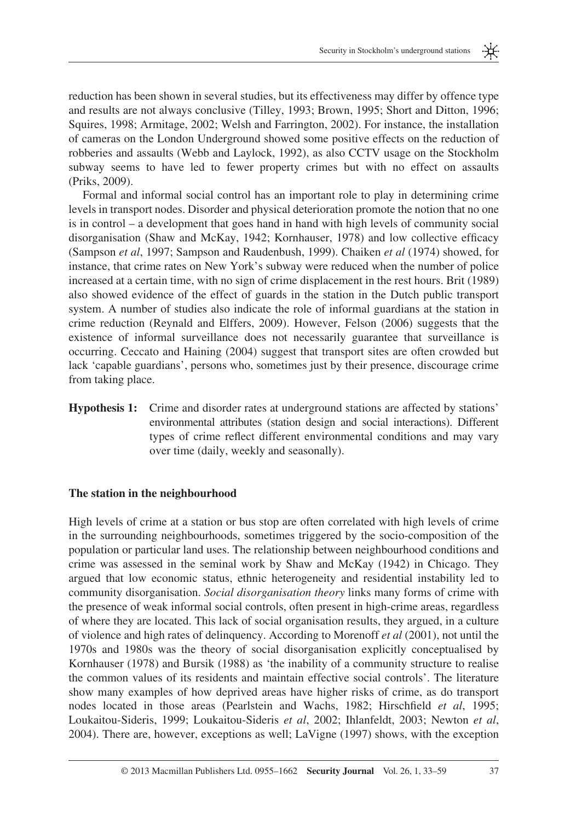米

reduction has been shown in several studies, but its effectiveness may differ by offence type and results are not always conclusive (Tilley, 1993; Brown, 1995; Short and Ditton, 1996; Squires, 1998; Armitage, 2002; Welsh and Farrington, 2002). For instance, the installation of cameras on the London Underground showed some positive effects on the reduction of robberies and assaults (Webb and Laylock, 1992), as also CCTV usage on the Stockholm subway seems to have led to fewer property crimes but with no effect on assaults (Priks, 2009).

 Formal and informal social control has an important role to play in determining crime levels in transport nodes. Disorder and physical deterioration promote the notion that no one is in control – a development that goes hand in hand with high levels of community social disorganisation (Shaw and McKay, 1942; Kornhauser, 1978) and low collective efficacy ( Sampson *et al* , 1997 ; Sampson and Raudenbush, 1999 ). Chaiken *et al* (1974) showed, for instance, that crime rates on New York's subway were reduced when the number of police increased at a certain time, with no sign of crime displacement in the rest hours. Brit (1989) also showed evidence of the effect of guards in the station in the Dutch public transport system. A number of studies also indicate the role of informal guardians at the station in crime reduction ( Reynald and Elffers, 2009 ). However, Felson (2006) suggests that the existence of informal surveillance does not necessarily guarantee that surveillance is occurring. Ceccato and Haining (2004) suggest that transport sites are often crowded but lack 'capable guardians', persons who, sometimes just by their presence, discourage crime from taking place.

**Hypothesis 1:** Crime and disorder rates at underground stations are affected by stations' environmental attributes (station design and social interactions). Different types of crime reflect different environmental conditions and may vary over time (daily, weekly and seasonally).

#### **The station in the neighbourhood**

 High levels of crime at a station or bus stop are often correlated with high levels of crime in the surrounding neighbourhoods, sometimes triggered by the socio-composition of the population or particular land uses. The relationship between neighbourhood conditions and crime was assessed in the seminal work by Shaw and McKay (1942) in Chicago. They argued that low economic status, ethnic heterogeneity and residential instability led to community disorganisation. *Social disorganisation theory* links many forms of crime with the presence of weak informal social controls, often present in high-crime areas, regardless of where they are located. This lack of social organisation results, they argued, in a culture of violence and high rates of delinquency. According to Morenoff *et al* (2001) , not until the 1970s and 1980s was the theory of social disorganisation explicitly conceptualised by Kornhauser (1978) and Bursik (1988) as 'the inability of a community structure to realise the common values of its residents and maintain effective social controls ' . The literature show many examples of how deprived areas have higher risks of crime, as do transport nodes located in those areas (Pearlstein and Wachs, 1982; Hirschfield *et al*, 1995; Loukaitou-Sideris, 1999; Loukaitou-Sideris *et al*, 2002; Ihlanfeldt, 2003; Newton *et al*, 2004 ). There are, however, exceptions as well; LaVigne (1997) shows, with the exception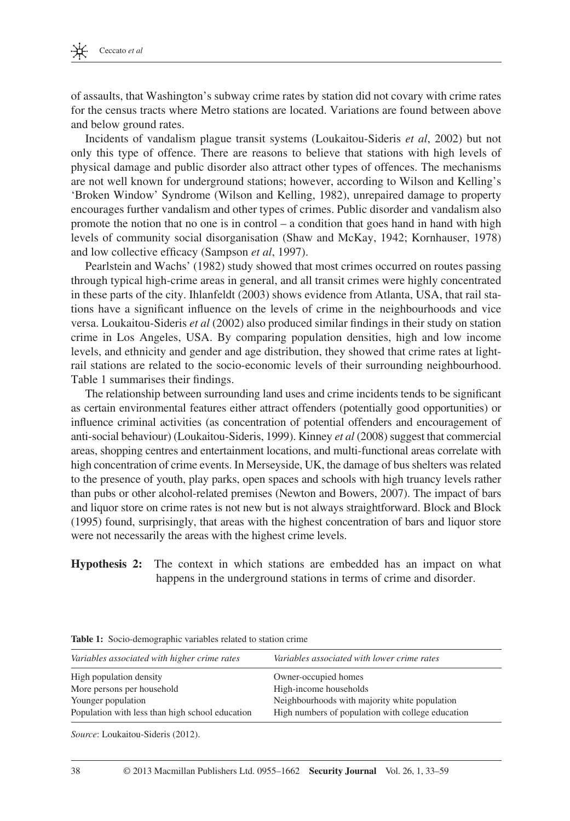

of assaults, that Washington's subway crime rates by station did not covary with crime rates for the census tracts where Metro stations are located . Variations are found between above and below ground rates.

 Incidents of vandalism plague transit systems ( Loukaitou-Sideris *et al* , 2002 ) but not only this type of offence. There are reasons to believe that stations with high levels of physical damage and public disorder also attract other types of offences. The mechanisms are not well known for underground stations; however, according to Wilson and Kelling's ' Broken Window ' Syndrome ( Wilson and Kelling, 1982 ), unrepaired damage to property encourages further vandalism and other types of crimes. Public disorder and vandalism also promote the notion that no one is in control – a condition that goes hand in hand with high levels of community social disorganisation (Shaw and McKay, 1942; Kornhauser, 1978) and low collective efficacy (Sampson *et al*, 1997).

Pearlstein and Wachs' (1982) study showed that most crimes occurred on routes passing through typical high-crime areas in general, and all transit crimes were highly concentrated in these parts of the city. Ihlanfeldt (2003) shows evidence from Atlanta, USA, that rail stations have a significant influence on the levels of crime in the neighbourhoods and vice versa. Loukaitou-Sideris *et al* (2002) also produced similar findings in their study on station crime in Los Angeles, USA. By comparing population densities, high and low income levels, and ethnicity and gender and age distribution, they showed that crime rates at lightrail stations are related to the socio-economic levels of their surrounding neighbourhood. Table 1 summarises their findings.

The relationship between surrounding land uses and crime incidents tends to be significant as certain environmental features either attract offenders (potentially good opportunities) or influence criminal activities (as concentration of potential offenders and encouragement of anti-social behaviour) ( Loukaitou-Sideris, 1999 ). Kinney *et al* (2008) suggest that commercial areas, shopping centres and entertainment locations, and multi-functional areas correlate with high concentration of crime events. In Merseyside, UK, the damage of bus shelters was related to the presence of youth, play parks, open spaces and schools with high truancy levels rather than pubs or other alcohol-related premises (Newton and Bowers, 2007). The impact of bars and liquor store on crime rates is not new but is not always straightforward. Block and Block (1995) found, surprisingly, that areas with the highest concentration of bars and liquor store were not necessarily the areas with the highest crime levels.

**Hypothesis 2:** The context in which stations are embedded has an impact on what happens in the underground stations in terms of crime and disorder.

| Variables associated with higher crime rates    | Variables associated with lower crime rates       |
|-------------------------------------------------|---------------------------------------------------|
| High population density                         | Owner-occupied homes                              |
| More persons per household                      | High-income households                            |
| Younger population                              | Neighbourhoods with majority white population     |
| Population with less than high school education | High numbers of population with college education |

**Table 1:** Socio-demographic variables related to station crime

Source: Loukaitou-Sideris (2012).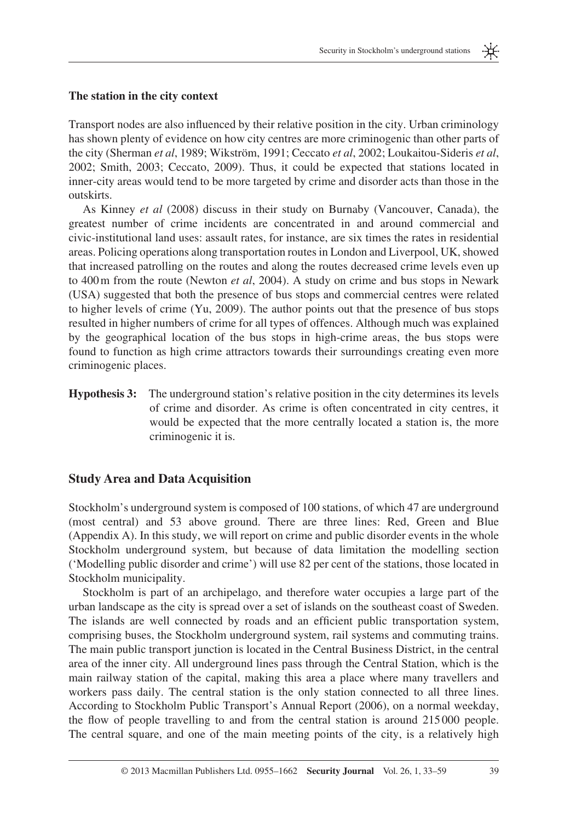

#### **The station in the city context**

Transport nodes are also influenced by their relative position in the city. Urban criminology has shown plenty of evidence on how city centres are more criminogenic than other parts of the city (Sherman *et al*, 1989; Wikström, 1991; Ceccato *et al*, 2002; Loukaitou-Sideris *et al*, 2002; Smith, 2003; Ceccato, 2009). Thus, it could be expected that stations located in inner-city areas would tend to be more targeted by crime and disorder acts than those in the outskirts.

 As Kinney *et al* (2008) discuss in their study on Burnaby (Vancouver, Canada), the greatest number of crime incidents are concentrated in and around commercial and civic-institutional land uses: assault rates, for instance, are six times the rates in residential areas. Policing operations along transportation routes in London and Liverpool, UK, showed that increased patrolling on the routes and along the routes decreased crime levels even up to 400 m from the route (Newton *et al*, 2004). A study on crime and bus stops in Newark (USA) suggested that both the presence of bus stops and commercial centres were related to higher levels of crime (Yu, 2009). The author points out that the presence of bus stops resulted in higher numbers of crime for all types of offences. Although much was explained by the geographical location of the bus stops in high-crime areas, the bus stops were found to function as high crime attractors towards their surroundings creating even more criminogenic places.

**Hypothesis 3:** The underground station's relative position in the city determines its levels of crime and disorder . As crime is often concentrated in city centres, it would be expected that the more centrally located a station is, the more criminogenic it is.

### **Study Area and Data Acquisition**

Stockholm's underground system is composed of 100 stations, of which 47 are underground (most central) and 53 above ground. There are three lines: Red, Green and Blue (Appendix A). In this study, we will report on crime and public disorder events in the whole Stockholm underground system, but because of data limitation the modelling section ('Modelling public disorder and crime') will use 82 per cent of the stations, those located in Stockholm municipality.

 Stockholm is part of an archipelago, and therefore water occupies a large part of the urban landscape as the city is spread over a set of islands on the southeast coast of Sweden. The islands are well connected by roads and an efficient public transportation system, comprising buses, the Stockholm underground system, rail systems and commuting trains. The main public transport junction is located in the Central Business District, in the central area of the inner city. All underground lines pass through the Central Station, which is the main railway station of the capital, making this area a place where many travellers and workers pass daily. The central station is the only station connected to all three lines. According to Stockholm Public Transport's Annual Report (2006) , on a normal weekday, the flow of people travelling to and from the central station is around 215000 people. The central square, and one of the main meeting points of the city, is a relatively high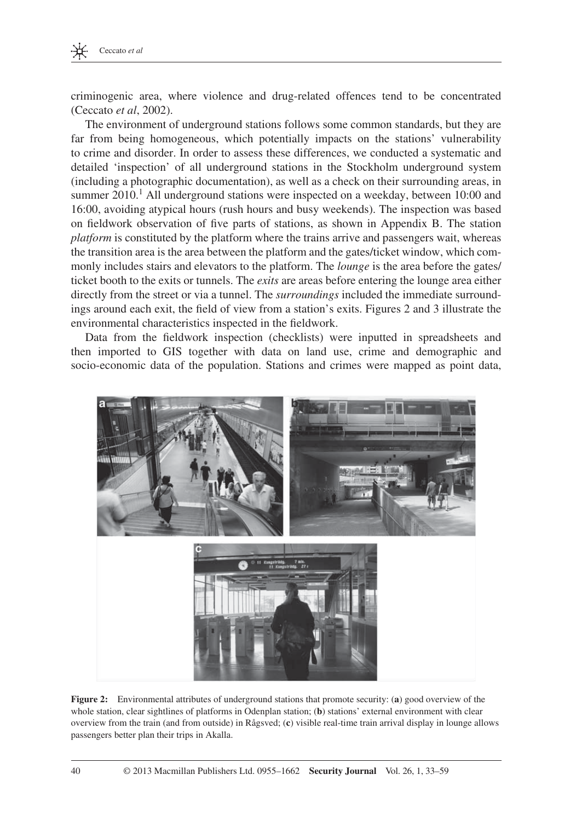

criminogenic area, where violence and drug-related offences tend to be concentrated ( Ceccato *et al* , 2002 ).

 The environment of underground stations follows some common standards, but they are far from being homogeneous, which potentially impacts on the stations' vulnerability to crime and disorder. In order to assess these differences, we conducted a systematic and detailed 'inspection' of all underground stations in the Stockholm underground system (including a photographic documentation), as well as a check on their surrounding areas, in summer  $2010<sup>1</sup>$  All underground stations were inspected on a weekday, between 10:00 and 16:00, avoiding atypical hours (rush hours and busy weekends). The inspection was based on fieldwork observation of five parts of stations, as shown in Appendix B. The station *platform* is constituted by the platform where the trains arrive and passengers wait, whereas the transition area is the area between the platform and the gates/ticket window, which commonly includes stairs and elevators to the platform. The *lounge* is the area before the gates/ ticket booth to the exits or tunnels. The *exits* are areas before entering the lounge area either directly from the street or via a tunnel. The *surroundings* included the immediate surroundings around each exit, the field of view from a station's exits. Figures 2 and 3 illustrate the environmental characteristics inspected in the fieldwork.

Data from the fieldwork inspection (checklists) were inputted in spreadsheets and then imported to GIS together with data on land use, crime and demographic and socio-economic data of the population. Stations and crimes were mapped as point data,



**Figure 2:** Environmental attributes of underground stations that promote security: (a) good overview of the whole station, clear sightlines of platforms in Odenplan station; (**b**) stations' external environment with clear overview from the train (and from outside) in Rågsved; (c) visible real-time train arrival display in lounge allows passengers better plan their trips in Akalla.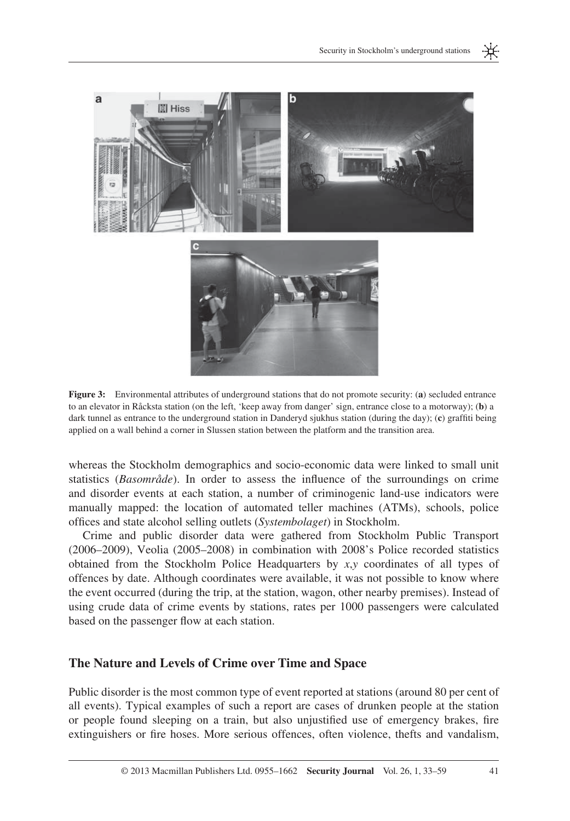

**Figure 3:** Environmental attributes of underground stations that do not promote security: (a) secluded entrance to an elevator in Råcksta station (on the left, 'keep away from danger' sign, entrance close to a motorway); (**b**) a dark tunnel as entrance to the underground station in Danderyd sjukhus station (during the day); (c) graffiti being applied on a wall behind a corner in Slussen station between the platform and the transition area.

whereas the Stockholm demographics and socio-economic data were linked to small unit statistics (*Basområde*). In order to assess the influence of the surroundings on crime and disorder events at each station, a number of criminogenic land-use indicators were manually mapped: the location of automated teller machines (ATMs), schools, police offi ces and state alcohol selling outlets ( *Systembolaget* ) in Stockholm.

 Crime and public disorder data were gathered from Stockholm Public Transport  $(2006-2009)$ , Veolia  $(2005-2008)$  in combination with 2008's Police recorded statistics obtained from the Stockholm Police Headquarters by  $x, y$  coordinates of all types of offences by date. Although coordinates were available, it was not possible to know where the event occurred (during the trip, at the station, wagon, other nearby premises). Instead of using crude data of crime events by stations, rates per 1000 passengers were calculated based on the passenger flow at each station.

#### **The Nature and Levels of Crime over Time and Space**

 Public disorder is the most common type of event reported at stations (around 80 per cent of all events). Typical examples of such a report are cases of drunken people at the station or people found sleeping on a train, but also unjustified use of emergency brakes, fire extinguishers or fire hoses. More serious offences, often violence, thefts and vandalism,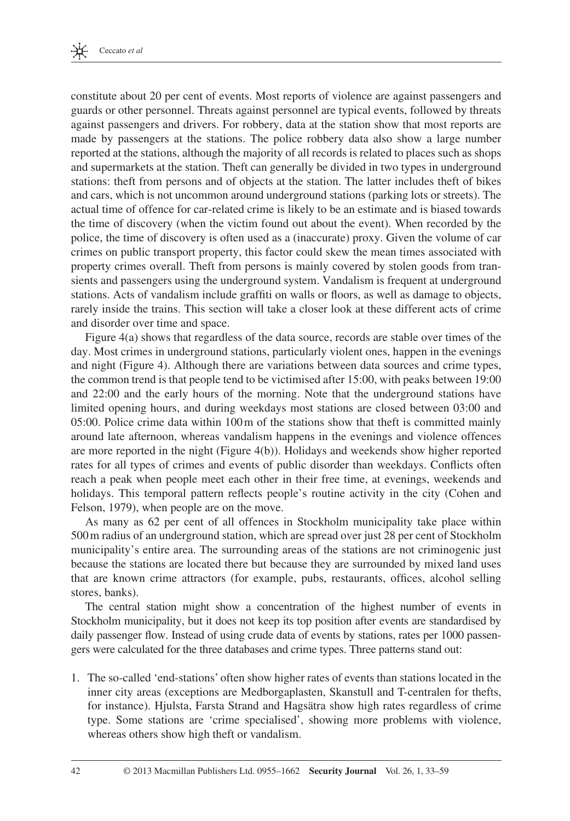

constitute about 20 per cent of events. Most reports of violence are against passengers and guards or other personnel. Threats against personnel are typical events, followed by threats against passengers and drivers. For robbery, data at the station show that most reports are made by passengers at the stations. The police robbery data also show a large number reported at the stations, although the majority of all records is related to places such as shops and supermarkets at the station. Theft can generally be divided in two types in underground stations: theft from persons and of objects at the station. The latter includes theft of bikes and cars, which is not uncommon around underground stations (parking lots or streets). The actual time of offence for car-related crime is likely to be an estimate and is biased towards the time of discovery (when the victim found out about the event). When recorded by the police, the time of discovery is often used as a (inaccurate) proxy. Given the volume of car crimes on public transport property, this factor could skew the mean times associated with property crimes overall. Theft from persons is mainly covered by stolen goods from transients and passengers using the underground system . Vandalism is frequent at underground stations. Acts of vandalism include graffiti on walls or floors, as well as damage to objects, rarely inside the trains. This section will take a closer look at these different acts of crime and disorder over time and space.

 Figure 4(a) shows that regardless of the data source, records are stable over times of the day. Most crimes in underground stations, particularly violent ones, happen in the evenings and night (Figure 4). Although there are variations between data sources and crime types, the common trend is that people tend to be victimised after 15:00, with peaks between 19:00 and 22:00 and the early hours of the morning. Note that the underground stations have limited opening hours, and during weekdays most stations are closed between 03:00 and 05:00. Police crime data within 100 m of the stations show that theft is committed mainly around late afternoon, whereas vandalism happens in the evenings and violence offences are more reported in the night ( Figure 4(b) ). Holidays and weekends show higher reported rates for all types of crimes and events of public disorder than weekdays. Conflicts often reach a peak when people meet each other in their free time, at evenings, weekends and holidays. This temporal pattern reflects people's routine activity in the city (Cohen and Felson, 1979), when people are on the move.

 As many as 62 per cent of all offences in Stockholm municipality take place within 500 m radius of an underground station, which are spread over just 28 per cent of Stockholm municipality's entire area. The surrounding areas of the stations are not criminogenic just because the stations are located there but because they are surrounded by mixed land uses that are known crime attractors (for example, pubs, restaurants, offices, alcohol selling stores, banks).

 The central station might show a concentration of the highest number of events in Stockholm municipality, but it does not keep its top position after events are standardised by daily passenger flow. Instead of using crude data of events by stations, rates per 1000 passengers were calculated for the three databases and crime types. Three patterns stand out:

1. The so-called 'end-stations' often show higher rates of events than stations located in the inner city areas (exceptions are Medborgaplasten, Skanstull and T-centralen for thefts, for instance). Hjulsta, Farsta Strand and Hagsätra show high rates regardless of crime type. Some stations are 'crime specialised', showing more problems with violence, whereas others show high theft or vandalism.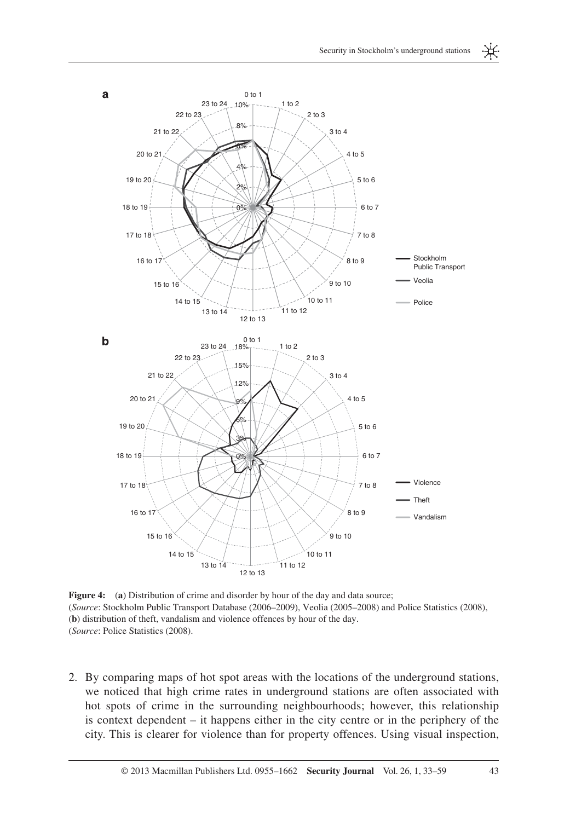

**Figure 4:** (a) Distribution of crime and disorder by hour of the day and data source; (*Source*: Stockholm Public Transport Database (2006–2009), Veolia (2005–2008) and Police Statistics (2008), (**b**) distribution of theft, vandalism and violence offences by hour of the day. (Source: Police Statistics (2008).

 2. By comparing maps of hot spot areas with the locations of the underground stations, we noticed that high crime rates in underground stations are often associated with hot spots of crime in the surrounding neighbourhoods; however, this relationship is context dependent – it happens either in the city centre or in the periphery of the city. This is clearer for violence than for property offences. Using visual inspection,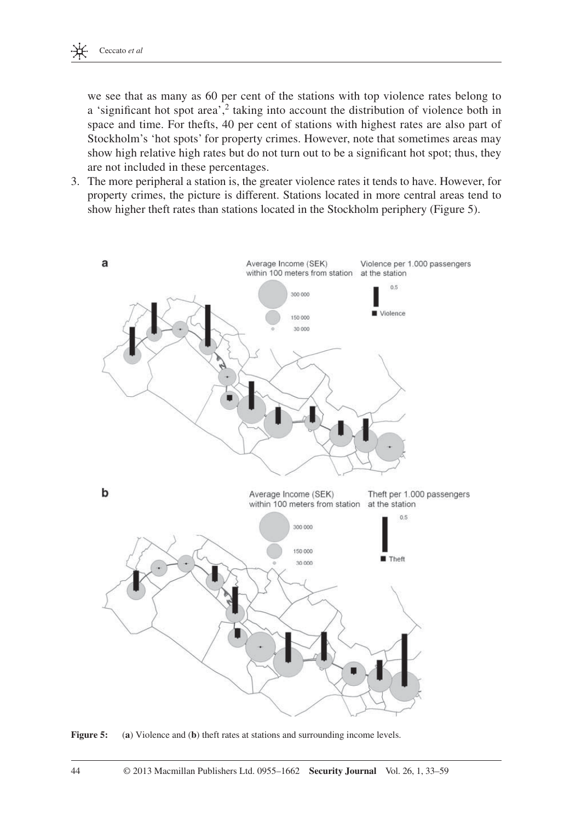

we see that as many as 60 per cent of the stations with top violence rates belong to a 'significant hot spot area',<sup>2</sup> taking into account the distribution of violence both in space and time. For thefts, 40 per cent of stations with highest rates are also part of Stockholm's 'hot spots' for property crimes. However, note that sometimes areas may show high relative high rates but do not turn out to be a significant hot spot; thus, they are not included in these percentages.

 3. The more peripheral a station is, the greater violence rates it tends to have. However, for property crimes, the picture is different. Stations located in more central areas tend to show higher theft rates than stations located in the Stockholm periphery (Figure 5).



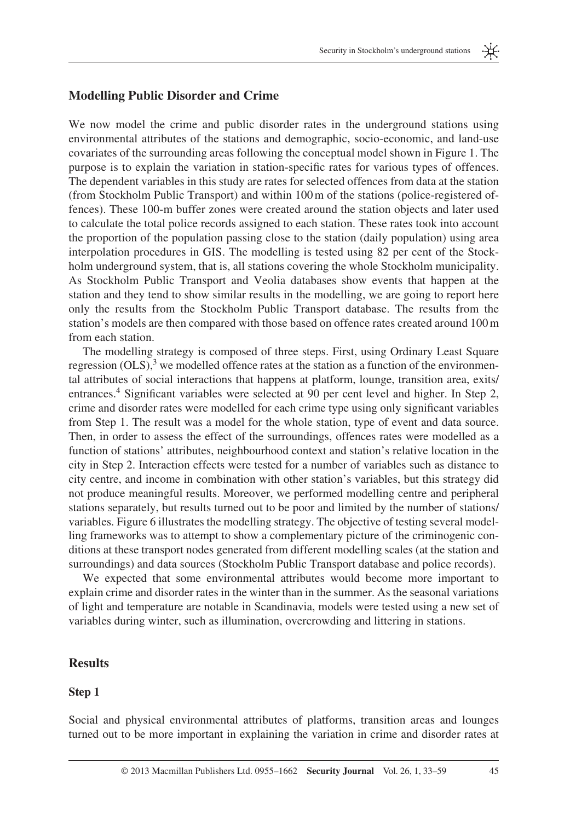

### **Modelling Public Disorder and Crime**

 We now model the crime and public disorder rates in the underground stations using environmental attributes of the stations and demographic, socio-economic, and land-use covariates of the surrounding areas following the conceptual model shown in Figure 1 . The purpose is to explain the variation in station-specific rates for various types of offences. The dependent variables in this study are rates for selected offences from data at the station (from Stockholm Public Transport) and within 100 m of the stations (police-registered offences). These 100-m buffer zones were created around the station objects and later used to calculate the total police records assigned to each station. These rates took into account the proportion of the population passing close to the station (daily population) using area interpolation procedures in GIS. The modelling is tested using 82 per cent of the Stockholm underground system, that is, all stations covering the whole Stockholm municipality. As Stockholm Public Transport and Veolia databases show events that happen at the station and they tend to show similar results in the modelling, we are going to report here only the results from the Stockholm Public Transport database. The results from the station's models are then compared with those based on offence rates created around 100 m from each station.

 The modelling strategy is composed of three steps. First, using Ordinary Least Square regression  $(OLS)$ ,<sup>3</sup> we modelled offence rates at the station as a function of the environmental attributes of social interactions that happens at platform, lounge, transition area, exits/ entrances.<sup>4</sup> Significant variables were selected at 90 per cent level and higher. In Step 2, crime and disorder rates were modelled for each crime type using only significant variables from Step 1. The result was a model for the whole station, type of event and data source. Then, in order to assess the effect of the surroundings, offences rates were modelled as a function of stations' attributes, neighbourhood context and station's relative location in the city in Step 2. Interaction effects were tested for a number of variables such as distance to city centre, and income in combination with other station's variables, but this strategy did not produce meaningful results. Moreover, we performed modelling centre and peripheral stations separately, but results turned out to be poor and limited by the number of stations/ variables. Figure 6 illustrates the modelling strategy. The objective of testing several modelling frameworks was to attempt to show a complementary picture of the criminogenic conditions at these transport nodes generated from different modelling scales (at the station and surroundings) and data sources (Stockholm Public Transport database and police records).

 We expected that some environmental attributes would become more important to explain crime and disorder rates in the winter than in the summer. As the seasonal variations of light and temperature are notable in Scandinavia, models were tested using a new set of variables during winter, such as illumination, overcrowding and littering in stations.

#### **Results**

#### **Step 1**

 Social and physical environmental attributes of platforms, transition areas and lounges turned out to be more important in explaining the variation in crime and disorder rates at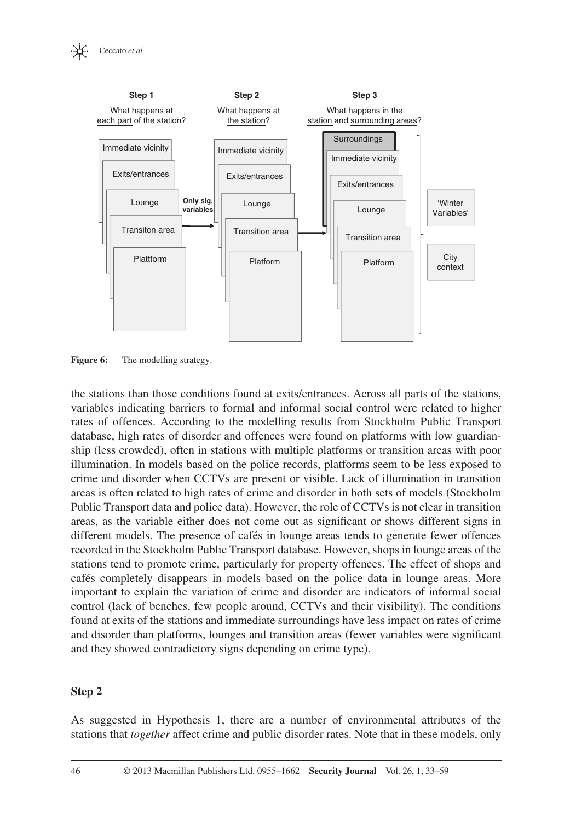

**Figure 6:** The modelling strategy.

the stations than those conditions found at exits / entrances. Across all parts of the stations, variables indicating barriers to formal and informal social control were related to higher rates of offences. According to the modelling results from Stockholm Public Transport database, high rates of disorder and offences were found on platforms with low guardianship (less crowded), often in stations with multiple platforms or transition areas with poor illumination. In models based on the police records, platforms seem to be less exposed to crime and disorder when CCTVs are present or visible. Lack of illumination in transition areas is often related to high rates of crime and disorder in both sets of models (Stockholm Public Transport data and police data). However, the role of CCTVs is not clear in transition areas, as the variable either does not come out as significant or shows different signs in different models. The presence of cafés in lounge areas tends to generate fewer offences recorded in the Stockholm Public Transport database. However, shops in lounge areas of the stations tend to promote crime, particularly for property offences. The effect of shops and cafés completely disappears in models based on the police data in lounge areas. More important to explain the variation of crime and disorder are indicators of informal social control (lack of benches, few people around, CCTVs and their visibility). The conditions found at exits of the stations and immediate surroundings have less impact on rates of crime and disorder than platforms, lounges and transition areas (fewer variables were significant and they showed contradictory signs depending on crime type).

### **Step 2**

 As suggested in Hypothesis 1, there are a number of environmental attributes of the stations that *together* affect crime and public disorder rates. Note that in these models, only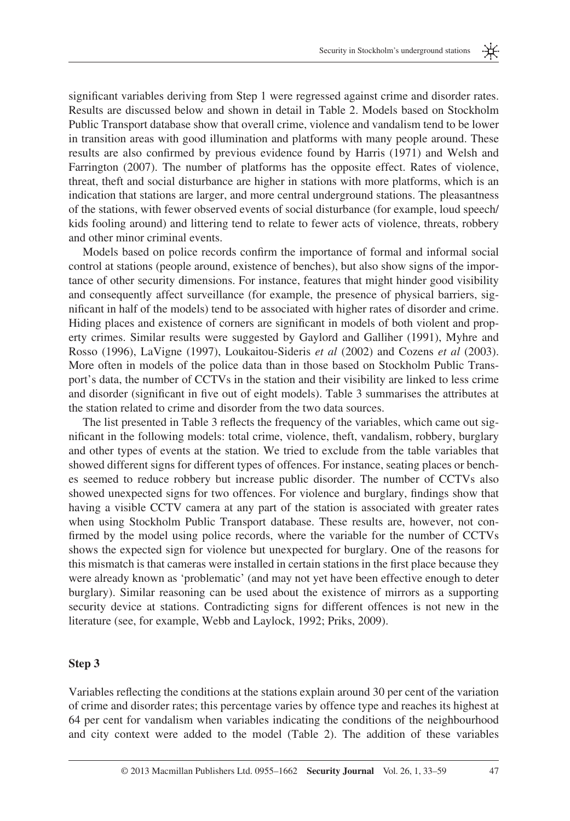米

significant variables deriving from Step 1 were regressed against crime and disorder rates. Results are discussed below and shown in detail in Table 2 . Models based on Stockholm Public Transport database show that overall crime, violence and vandalism tend to be lower in transition areas with good illumination and platforms with many people around. These results are also confirmed by previous evidence found by Harris (1971) and Welsh and Farrington (2007). The number of platforms has the opposite effect. Rates of violence, threat, theft and social disturbance are higher in stations with more platforms, which is an indication that stations are larger, and more central underground stations. The pleasantness of the stations, with fewer observed events of social disturbance (for example, loud speech/ kids fooling around) and littering tend to relate to fewer acts of violence, threats, robbery and other minor criminal events.

Models based on police records confirm the importance of formal and informal social control at stations (people around, existence of benches), but also show signs of the importance of other security dimensions. For instance, features that might hinder good visibility and consequently affect surveillance (for example, the presence of physical barriers, significant in half of the models) tend to be associated with higher rates of disorder and crime. Hiding places and existence of corners are significant in models of both violent and property crimes. Similar results were suggested by Gaylord and Galliher (1991) , Myhre and Rosso (1996) , LaVigne (1997) , Loukaitou-Sideris *et al* (2002) and Cozens *et al* (2003) . More often in models of the police data than in those based on Stockholm Public Transport's data, the number of CCTVs in the station and their visibility are linked to less crime and disorder (significant in five out of eight models). Table 3 summarises the attributes at the station related to crime and disorder from the two data sources.

The list presented in Table 3 reflects the frequency of the variables, which came out significant in the following models: total crime, violence, theft, vandalism, robbery, burglary and other types of events at the station. We tried to exclude from the table variables that showed different signs for different types of offences. For instance, seating places or benches seemed to reduce robbery but increase public disorder. The number of CCTVs also showed unexpected signs for two offences. For violence and burglary, findings show that having a visible CCTV camera at any part of the station is associated with greater rates when using Stockholm Public Transport database. These results are, however, not confirmed by the model using police records, where the variable for the number of CCTVs shows the expected sign for violence but unexpected for burglary. One of the reasons for this mismatch is that cameras were installed in certain stations in the first place because they were already known as 'problematic' (and may not yet have been effective enough to deter burglary). Similar reasoning can be used about the existence of mirrors as a supporting security device at stations. Contradicting signs for different offences is not new in the literature (see, for example, Webb and Laylock, 1992; Priks, 2009).

#### **Step 3**

Variables reflecting the conditions at the stations explain around 30 per cent of the variation of crime and disorder rates; this percentage varies by offence type and reaches its highest at 64 per cent for vandalism when variables indicating the conditions of the neighbourhood and city context were added to the model (Table 2). The addition of these variables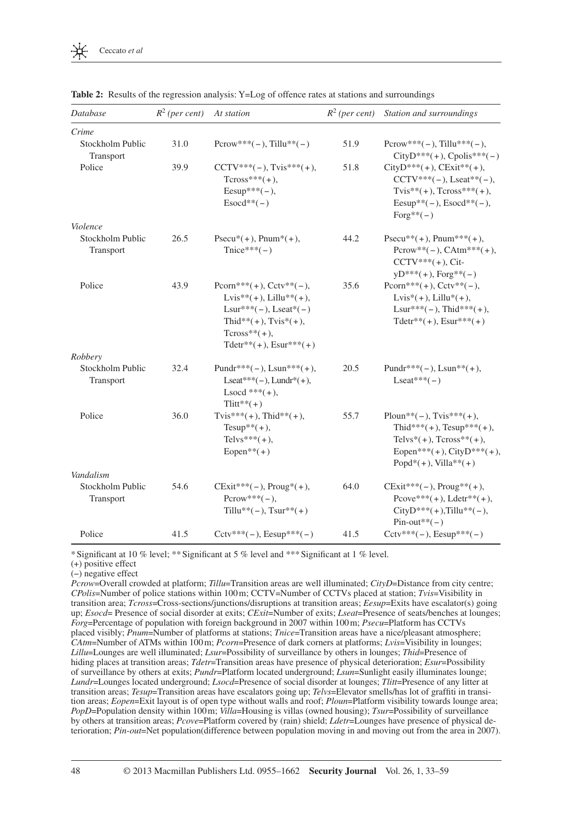| Database                      | $R^2$ (per cent) | At station                                                                                                                                                         |      | $R^2$ (per cent) Station and surroundings                                                                                                                |
|-------------------------------|------------------|--------------------------------------------------------------------------------------------------------------------------------------------------------------------|------|----------------------------------------------------------------------------------------------------------------------------------------------------------|
| Crime                         |                  |                                                                                                                                                                    |      |                                                                                                                                                          |
| Stockholm Public<br>Transport | 31.0             | $Pccow***(-), Tillu**(-)$                                                                                                                                          | 51.9 | $Pccow***(-), Tillu***(-),$<br>$CityD***(+)$ , $Cpolis***(-)$                                                                                            |
| Police                        | 39.9             | $CCTV***(-), Tvis***(+)$ ,<br>$Tcross***(+)$ ,<br>$Eesup***(-),$<br>$Esocd**(-)$                                                                                   | 51.8 | $CityD***(+)$ , $CExit**(+)$ ,<br>$CCTV***(-),$ Lseat**(-),<br>$Tvis**(+), Tcross***(+),$<br>Eesup**(-), $Esocd**(-)$ ,<br>$Forg**(-)$                   |
| Violence                      |                  |                                                                                                                                                                    |      |                                                                                                                                                          |
| Stockholm Public<br>Transport | 26.5             | $Psecu^*(+)$ , $Pnum^*(+)$ ,<br>$Tnice***(-)$                                                                                                                      | 44.2 | $Psecu**(+), Pnum***(+),$<br>$Pccow**(-), CAtm***(+)$ ,<br>$CCTV***(+)$ , Cit-<br>$yD^{***}(+)$ , Forg**(-)                                              |
| Police                        | 43.9             | Pcorn***(+), $Cctv**(-)$ ,<br>$Lvis**(+)$ , $Lillu**(+)$ ,<br>$Lsur***(-), Lseat*(-)$<br>Thid**(+), $Tvis*(+)$ ,<br>$Tcross^{**}(+)$ ,<br>$Tdetr**(+), Esur***(+)$ | 35.6 | Pcorn***(+), $Cctv**(-)$ ,<br>$Lvis*(+)$ , $Lillu*(+)$ ,<br>$Lsur***(-), Thid***(+),$<br>$Tdetr**(+), Esur***(+)$                                        |
| Robbery                       |                  |                                                                                                                                                                    |      |                                                                                                                                                          |
| Stockholm Public<br>Transport | 32.4             | Pundr***(-), Lsun***(+),<br>Lseat***(-), Lundr <sup>*</sup> (+),<br>$\text{Lsocd}$ *** $(+),$<br>$Tlitt**(+)$                                                      | 20.5 | Pundr***(-), $Lsum**$ (+),<br>$\text{Lseat}$ *** $(-)$                                                                                                   |
| Police                        | 36.0             | Tvis*** $(+),$ Thid** $(+),$<br>Tesup** $(+),$<br>Telvs*** $(+),$<br>Eopen** $(+)$                                                                                 | 55.7 | Ploun**(-), $Tvis***(+)$ ,<br>Thid***(+), $Tesup***(+)$ ,<br>Telvs* $(+)$ , Tcross** $(+)$ ,<br>Eopen***(+), CityD***(+),<br>Popd* $(+)$ , Villa** $(+)$ |
| Vandalism                     |                  |                                                                                                                                                                    |      |                                                                                                                                                          |
| Stockholm Public<br>Transport | 54.6             | $CExit***(-), Proug*(+),$<br>$Pccow***(-),$<br>Tillu**(-), $Tsur**(+)$                                                                                             | 64.0 | $CExit***(-), Proug**(+),$<br>Pcove***(+), Ldetr**(+),<br>$CityD***(+)$ , Tillu**(-),<br>$Pin-out**(-)$                                                  |
| Police                        | 41.5             | $Cctv***(-), Eesup***(-)$                                                                                                                                          | 41.5 | $Cctv***(-), Eesup***(-)$                                                                                                                                |

**Table 2:** Results of the regression analysis: Y=Log of offence rates at stations and surroundings

\* Significant at 10 % level; \*\* Significant at 5 % level and \*\*\* Significant at 1 % level.

(+) positive effect

( − ) negative effect

*Pcrow*=Overall crowded at platform; *Tillu*=Transition areas are well illuminated; *CityD*=Distance from city centre; *CPolis* =Number of police stations within 100 m; CCTV =Number of CCTVs placed at station; *Tvis* =Visibility in transition area; *Tcross*=Cross-sections/junctions/disruptions at transition areas; *Eesup*=Exits have escalator(s) going up; *Esocd* = Presence of social disorder at exits; *CExit* = Number of exits; *Lseat* = Presence of seats/benches at lounges; *Forg*=Percentage of population with foreign background in 2007 within 100 m; *Psecu*=Platform has CCTVs placed visibly; *Pnum*=Number of platforms at stations; *Tnice*=Transition areas have a nice/pleasant atmosphere; *CAtm* = Number of ATMs within 100 m; *Pcorn* = Presence of dark corners at platforms; *Lvis* = Visibility in lounges; *Lillu*=Lounges are well illuminated; *Lsur*=Possibility of surveillance by others in lounges; *Thid*=Presence of hiding places at transition areas; *Tdetr*=Transition areas have presence of physical deterioration; *Esur*=Possibility of surveillance by others at exits; *Pundr*=Platform located underground; *Lsun*=Sunlight easily illuminates lounge; *Lundr* = Lounges located underground; *Lsocd* = Presence of social disorder at lounges; *Tlitt* = Presence of any litter at transition areas; *Tesup*=Transition areas have escalators going up; *Telvs*=Elevator smells/has lot of graffiti in transition areas; *Eopen*=Exit layout is of open type without walls and roof; *Ploun*=Platform visibility towards lounge area; *PopD*=Population density within 100 m; *Villa*=Housing is villas (owned housing); *Tsur*=Possibility of surveillance by others at transition areas; *Pcove=Platform covered by (rain)* shield; *Ldetr*=Lounges have presence of physical deterioration; *Pin-out*=Net population(difference between population moving in and moving out from the area in 2007).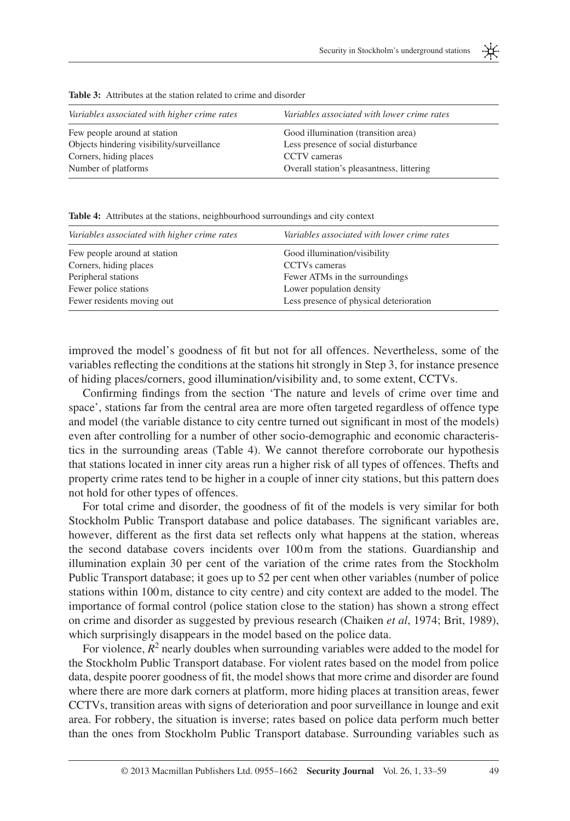| Variables associated with higher crime rates | Variables associated with lower crime rates |
|----------------------------------------------|---------------------------------------------|
| Few people around at station                 | Good illumination (transition area)         |
| Objects hindering visibility/surveillance    | Less presence of social disturbance         |
| Corners, hiding places                       | CCTV cameras                                |
| Number of platforms                          | Overall station's pleasantness, littering   |
|                                              |                                             |

**Table 3:** Attributes at the station related to crime and disorder

**Table 4:** Attributes at the stations, neighbourhood surroundings and city context

| Variables associated with higher crime rates | Variables associated with lower crime rates |
|----------------------------------------------|---------------------------------------------|
| Few people around at station                 | Good illumination/visibility                |
| Corners, hiding places                       | CCTVs cameras                               |
| Peripheral stations                          | Fewer ATMs in the surroundings              |
| Fewer police stations                        | Lower population density                    |
| Fewer residents moving out                   | Less presence of physical deterioration     |

improved the model's goodness of fit but not for all offences. Nevertheless, some of the variables reflecting the conditions at the stations hit strongly in Step 3, for instance presence of hiding places / corners, good illumination / visibility and, to some extent, CCTVs.

Confirming findings from the section 'The nature and levels of crime over time and space', stations far from the central area are more often targeted regardless of offence type and model (the variable distance to city centre turned out significant in most of the models) even after controlling for a number of other socio-demographic and economic characteristics in the surrounding areas (Table 4). We cannot therefore corroborate our hypothesis that stations located in inner city areas run a higher risk of all types of offences. Thefts and property crime rates tend to be higher in a couple of inner city stations, but this pattern does not hold for other types of offences.

For total crime and disorder, the goodness of fit of the models is very similar for both Stockholm Public Transport database and police databases. The significant variables are, however, different as the first data set reflects only what happens at the station, whereas the second database covers incidents over 100 m from the stations. Guardianship and illumination explain 30 per cent of the variation of the crime rates from the Stockholm Public Transport database; it goes up to 52 per cent when other variables (number of police stations within 100 m, distance to city centre) and city context are added to the model. The importance of formal control (police station close to the station) has shown a strong effect on crime and disorder as suggested by previous research (Chaiken *et al*, 1974; Brit, 1989), which surprisingly disappears in the model based on the police data.

For violence,  $R^2$  nearly doubles when surrounding variables were added to the model for the Stockholm Public Transport database. For violent rates based on the model from police data, despite poorer goodness of fit, the model shows that more crime and disorder are found where there are more dark corners at platform, more hiding places at transition areas, fewer CCTVs, transition areas with signs of deterioration and poor surveillance in lounge and exit area. For robbery, the situation is inverse; rates based on police data perform much better than the ones from Stockholm Public Transport database. Surrounding variables such as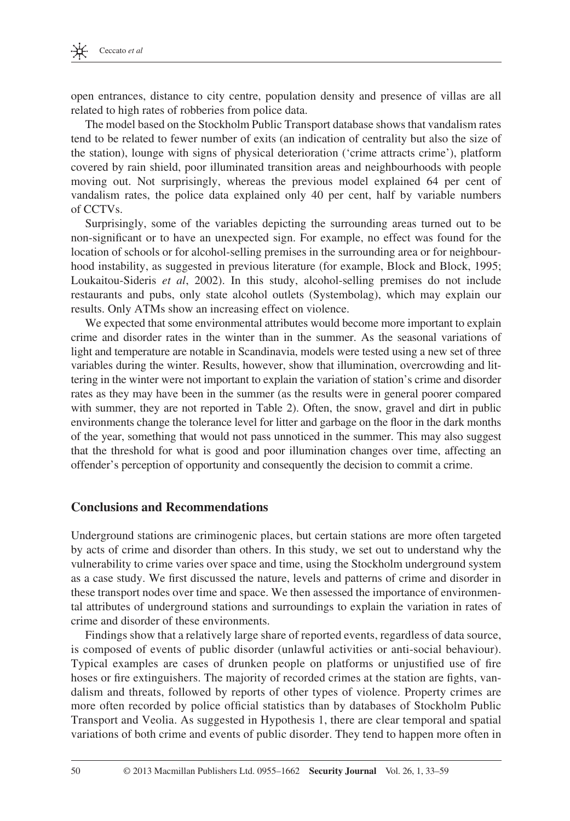open entrances, distance to city centre, population density and presence of villas are all related to high rates of robberies from police data.

 The model based on the Stockholm Public Transport database shows that vandalism rates tend to be related to fewer number of exits (an indication of centrality but also the size of the station), lounge with signs of physical deterioration ('crime attracts crime'), platform covered by rain shield, poor illuminated transition areas and neighbourhoods with people moving out. Not surprisingly, whereas the previous model explained 64 per cent of vandalism rates, the police data explained only 40 per cent, half by variable numbers of CCTVs.

 Surprisingly, some of the variables depicting the surrounding areas turned out to be non-significant or to have an unexpected sign. For example, no effect was found for the location of schools or for alcohol-selling premises in the surrounding area or for neighbourhood instability, as suggested in previous literature (for example, Block and Block, 1995; Loukaitou-Sideris et al, 2002). In this study, alcohol-selling premises do not include restaurants and pubs, only state alcohol outlets (Systembolag), which may explain our results. Only ATMs show an increasing effect on violence.

 We expected that some environmental attributes would become more important to explain crime and disorder rates in the winter than in the summer. As the seasonal variations of light and temperature are notable in Scandinavia, models were tested using a new set of three variables during the winter. Results, however, show that illumination, overcrowding and littering in the winter were not important to explain the variation of station's crime and disorder rates as they may have been in the summer (as the results were in general poorer compared with summer, they are not reported in Table 2). Often, the snow, gravel and dirt in public environments change the tolerance level for litter and garbage on the floor in the dark months of the year, something that would not pass unnoticed in the summer. This may also suggest that the threshold for what is good and poor illumination changes over time, affecting an offender's perception of opportunity and consequently the decision to commit a crime.

### **Conclusions and Recommendations**

 Underground stations are criminogenic places, but certain stations are more often targeted by acts of crime and disorder than others. In this study, we set out to understand why the vulnerability to crime varies over space and time, using the Stockholm underground system as a case study. We first discussed the nature, levels and patterns of crime and disorder in these transport nodes over time and space. We then assessed the importance of environmental attributes of underground stations and surroundings to explain the variation in rates of crime and disorder of these environments.

 Findings show that a relatively large share of reported events, regardless of data source, is composed of events of public disorder (unlawful activities or anti-social behaviour). Typical examples are cases of drunken people on platforms or unjustified use of fire hoses or fire extinguishers. The majority of recorded crimes at the station are fights, vandalism and threats, followed by reports of other types of violence. Property crimes are more often recorded by police official statistics than by databases of Stockholm Public Transport and Veolia. As suggested in Hypothesis 1, there are clear temporal and spatial variations of both crime and events of public disorder. They tend to happen more often in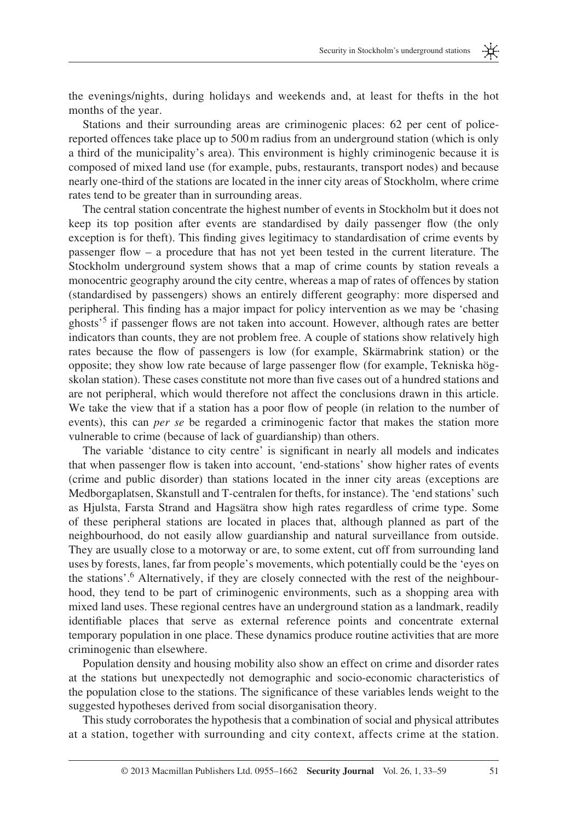米

the evenings/nights, during holidays and weekends and, at least for thefts in the hot months of the year.

 Stations and their surrounding areas are criminogenic places: 62 per cent of policereported offences take place up to 500 m radius from an underground station (which is only a third of the municipality's area). This environment is highly criminogenic because it is composed of mixed land use (for example, pubs, restaurants, transport nodes) and because nearly one-third of the stations are located in the inner city areas of Stockholm, where crime rates tend to be greater than in surrounding areas.

 The central station concentrate the highest number of events in Stockholm but it does not keep its top position after events are standardised by daily passenger flow (the only exception is for theft). This finding gives legitimacy to standardisation of crime events by passenger flow  $-$  a procedure that has not yet been tested in the current literature. The Stockholm underground system shows that a map of crime counts by station reveals a monocentric geography around the city centre, whereas a map of rates of offences by station (standardised by passengers) shows an entirely different geography: more dispersed and peripheral. This finding has a major impact for policy intervention as we may be 'chasing ghosts<sup>55</sup> if passenger flows are not taken into account. However, although rates are better indicators than counts, they are not problem free. A couple of stations show relatively high rates because the flow of passengers is low (for example, Skärmabrink station) or the opposite; they show low rate because of large passenger flow (for example, Tekniska högskolan station). These cases constitute not more than five cases out of a hundred stations and are not peripheral, which would therefore not affect the conclusions drawn in this article. We take the view that if a station has a poor flow of people (in relation to the number of events), this can *per se* be regarded a criminogenic factor that makes the station more vulnerable to crime (because of lack of guardianship) than others.

The variable 'distance to city centre' is significant in nearly all models and indicates that when passenger flow is taken into account, 'end-stations' show higher rates of events (crime and public disorder) than stations located in the inner city areas (exceptions are Medborgaplatsen, Skanstull and T-centralen for thefts, for instance). The 'end stations' such as Hjulsta, Farsta Strand and Hagsätra show high rates regardless of crime type. Some of these peripheral stations are located in places that, although planned as part of the neighbourhood, do not easily allow guardianship and natural surveillance from outside. They are usually close to a motorway or are, to some extent, cut off from surrounding land uses by forests, lanes, far from people's movements, which potentially could be the 'eyes on the stations'.<sup>6</sup> Alternatively, if they are closely connected with the rest of the neighbourhood, they tend to be part of criminogenic environments, such as a shopping area with mixed land uses. These regional centres have an underground station as a landmark, readily identifiable places that serve as external reference points and concentrate external temporary population in one place. These dynamics produce routine activities that are more criminogenic than elsewhere.

 Population density and housing mobility also show an effect on crime and disorder rates at the stations but unexpectedly not demographic and socio-economic characteristics of the population close to the stations. The significance of these variables lends weight to the suggested hypotheses derived from social disorganisation theory.

 This study corroborates the hypothesis that a combination of social and physical attributes at a station, together with surrounding and city context, affects crime at the station.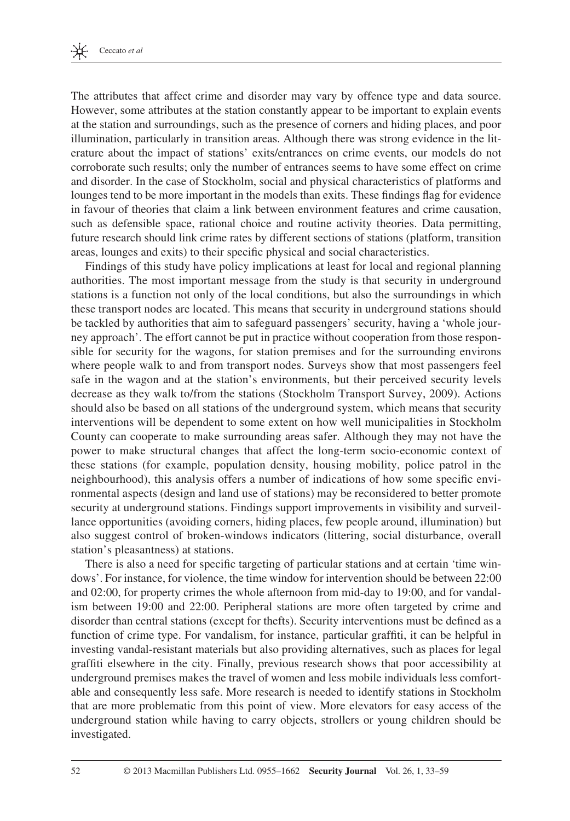The attributes that affect crime and disorder may vary by offence type and data source. However, some attributes at the station constantly appear to be important to explain events at the station and surroundings, such as the presence of corners and hiding places, and poor illumination, particularly in transition areas. Although there was strong evidence in the literature about the impact of stations' exits/entrances on crime events, our models do not corroborate such results; only the number of entrances seems to have some effect on crime and disorder. In the case of Stockholm, social and physical characteristics of platforms and lounges tend to be more important in the models than exits. These findings flag for evidence in favour of theories that claim a link between environment features and crime causation, such as defensible space, rational choice and routine activity theories. Data permitting, future research should link crime rates by different sections of stations (platform, transition areas, lounges and exits) to their specific physical and social characteristics.

 Findings of this study have policy implications at least for local and regional planning authorities. The most important message from the study is that security in underground stations is a function not only of the local conditions, but also the surroundings in which these transport nodes are located. This means that security in underground stations should be tackled by authorities that aim to safeguard passengers ' security, having a ' whole journey approach'. The effort cannot be put in practice without cooperation from those responsible for security for the wagons, for station premises and for the surrounding environs where people walk to and from transport nodes. Surveys show that most passengers feel safe in the wagon and at the station's environments, but their perceived security levels decrease as they walk to/from the stations (Stockholm Transport Survey, 2009). Actions should also be based on all stations of the underground system, which means that security interventions will be dependent to some extent on how well municipalities in Stockholm County can cooperate to make surrounding areas safer. Although they may not have the power to make structural changes that affect the long-term socio-economic context of these stations (for example, population density, housing mobility, police patrol in the neighbourhood), this analysis offers a number of indications of how some specific environmental aspects (design and land use of stations) may be reconsidered to better promote security at underground stations. Findings support improvements in visibility and surveillance opportunities (avoiding corners, hiding places, few people around, illumination) but also suggest control of broken-windows indicators (littering, social disturbance, overall station's pleasantness) at stations.

There is also a need for specific targeting of particular stations and at certain 'time windows'. For instance, for violence, the time window for intervention should be between 22:00 and 02:00, for property crimes the whole afternoon from mid-day to 19:00, and for vandalism between 19:00 and 22:00. Peripheral stations are more often targeted by crime and disorder than central stations (except for thefts). Security interventions must be defined as a function of crime type. For vandalism, for instance, particular graffiti, it can be helpful in investing vandal-resistant materials but also providing alternatives, such as places for legal graffiti elsewhere in the city. Finally, previous research shows that poor accessibility at underground premises makes the travel of women and less mobile individuals less comfortable and consequently less safe. More research is needed to identify stations in Stockholm that are more problematic from this point of view. More elevators for easy access of the underground station while having to carry objects, strollers or young children should be investigated.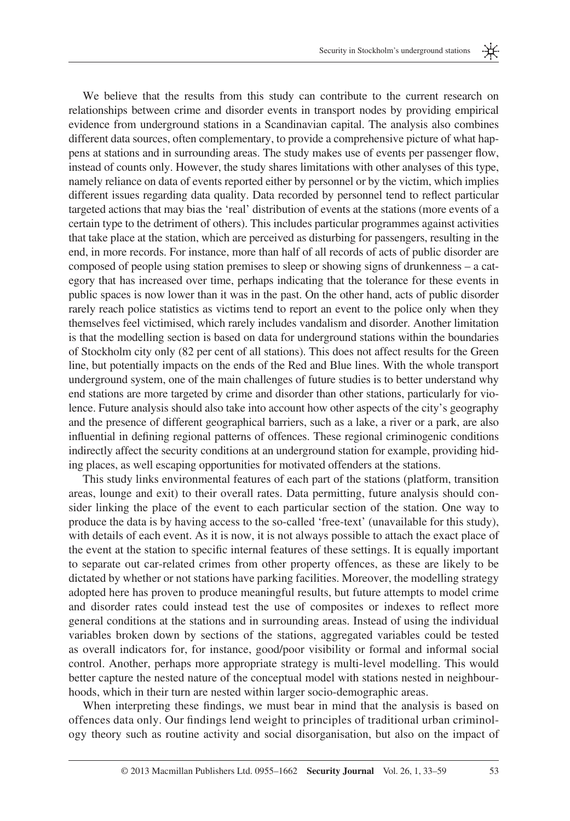米

 We believe that the results from this study can contribute to the current research on relationships between crime and disorder events in transport nodes by providing empirical evidence from underground stations in a Scandinavian capital. The analysis also combines different data sources, often complementary, to provide a comprehensive picture of what happens at stations and in surrounding areas. The study makes use of events per passenger flow, instead of counts only. However, the study shares limitations with other analyses of this type, namely reliance on data of events reported either by personnel or by the victim, which implies different issues regarding data quality. Data recorded by personnel tend to reflect particular targeted actions that may bias the 'real' distribution of events at the stations (more events of a certain type to the detriment of others). This includes particular programmes against activities that take place at the station, which are perceived as disturbing for passengers, resulting in the end, in more records. For instance, more than half of all records of acts of public disorder are composed of people using station premises to sleep or showing signs of drunkenness – a category that has increased over time, perhaps indicating that the tolerance for these events in public spaces is now lower than it was in the past. On the other hand, acts of public disorder rarely reach police statistics as victims tend to report an event to the police only when they themselves feel victimised, which rarely includes vandalism and disorder. Another limitation is that the modelling section is based on data for underground stations within the boundaries of Stockholm city only (82 per cent of all stations). This does not affect results for the Green line, but potentially impacts on the ends of the Red and Blue lines. With the whole transport underground system, one of the main challenges of future studies is to better understand why end stations are more targeted by crime and disorder than other stations, particularly for violence. Future analysis should also take into account how other aspects of the city's geography and the presence of different geographical barriers, such as a lake, a river or a park, are also influential in defining regional patterns of offences. These regional criminogenic conditions indirectly affect the security conditions at an underground station for example, providing hiding places, as well escaping opportunities for motivated offenders at the stations.

 This study links environmental features of each part of the stations (platform, transition areas, lounge and exit) to their overall rates. Data permitting, future analysis should consider linking the place of the event to each particular section of the station. One way to produce the data is by having access to the so-called 'free-text' (unavailable for this study), with details of each event. As it is now, it is not always possible to attach the exact place of the event at the station to specific internal features of these settings. It is equally important to separate out car-related crimes from other property offences, as these are likely to be dictated by whether or not stations have parking facilities . Moreover, the modelling strategy adopted here has proven to produce meaningful results, but future attempts to model crime and disorder rates could instead test the use of composites or indexes to reflect more general conditions at the stations and in surrounding areas. Instead of using the individual variables broken down by sections of the stations, aggregated variables could be tested as overall indicators for, for instance, good/poor visibility or formal and informal social control. Another, perhaps more appropriate strategy is multi-level modelling. This would better capture the nested nature of the conceptual model with stations nested in neighbourhoods, which in their turn are nested within larger socio-demographic areas.

When interpreting these findings, we must bear in mind that the analysis is based on offences data only. Our findings lend weight to principles of traditional urban criminology theory such as routine activity and social disorganisation, but also on the impact of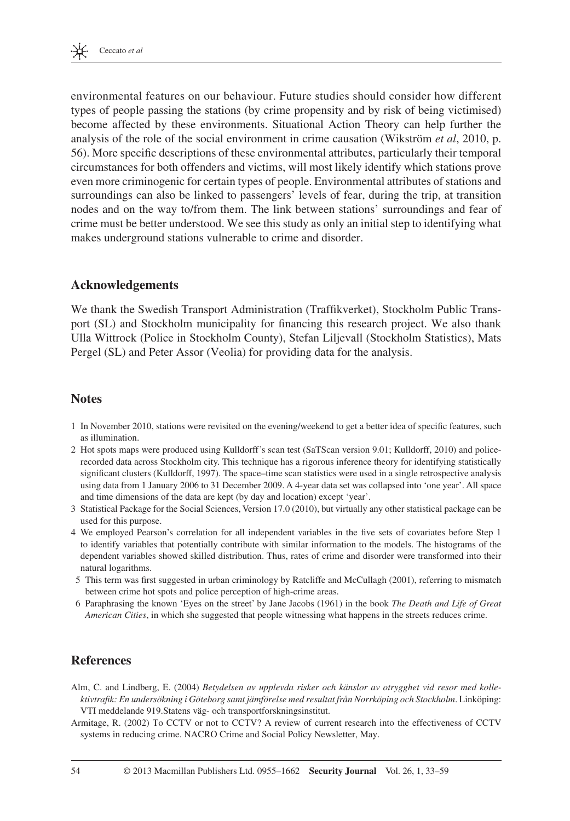environmental features on our behaviour. Future studies should consider how different types of people passing the stations (by crime propensity and by risk of being victimised) become affected by these environments. Situational Action Theory can help further the analysis of the role of the social environment in crime causation (Wikström *et al.*, 2010, p. 56 ). More specifi c descriptions of these environmental attributes, particularly their temporal circumstances for both offenders and victims, will most likely identify which stations prove even more criminogenic for certain types of people. Environmental attributes of stations and surroundings can also be linked to passengers' levels of fear, during the trip, at transition nodes and on the way to/from them. The link between stations' surroundings and fear of crime must be better understood. We see this study as only an initial step to identifying what makes underground stations vulnerable to crime and disorder.

### **Acknowledgements**

We thank the Swedish Transport Administration (Traffikverket), Stockholm Public Transport (SL) and Stockholm municipality for financing this research project. We also thank Ulla Wittrock (Police in Stockholm County), Stefan Liljevall (Stockholm Statistics), Mats Pergel (SL) and Peter Assor (Veolia) for providing data for the analysis.

### **Notes**

- 1 In November 2010, stations were revisited on the evening/weekend to get a better idea of specific features, such as illumination.
- 2 Hot spots maps were produced using Kulldorff's scan test (SaTScan version 9.01; Kulldorff, 2010) and policerecorded data across Stockholm city. This technique has a rigorous inference theory for identifying statistically significant clusters (Kulldorff, 1997). The space–time scan statistics were used in a single retrospective analysis using data from 1 January 2006 to 31 December 2009. A 4-year data set was collapsed into 'one year'. All space and time dimensions of the data are kept (by day and location) except 'year'.
- 3 Statistical Package for the Social Sciences, Version 17.0 (2010), but virtually any other statistical package can be used for this purpose.
- 4 We employed Pearson's correlation for all independent variables in the five sets of covariates before Step 1 to identify variables that potentially contribute with similar information to the models. The histograms of the dependent variables showed skilled distribution. Thus, rates of crime and disorder were transformed into their natural logarithms.
- 5 This term was first suggested in urban criminology by Ratcliffe and McCullagh (2001), referring to mismatch between crime hot spots and police perception of high-crime areas.
- 6 Paraphrasing the known ' Eyes on the street ' by Jane Jacobs (1961) in the book *The Death and Life of Great American Cities* , in which she suggested that people witnessing what happens in the streets reduces crime.

### **References**

- Alm, C. and Lindberg, E. (2004) *Betydelsen av upplevda risker och känslor av otrygghet vid resor med kolle*ktivtrafik: En undersökning i Göteborg samt jämförelse med resultat från Norrköping och Stockholm. Linköping: VTI meddelande 919.Statens väg- och transportforskningsinstitut.
- Armitage, R. (2002) To CCTV or not to CCTV? A review of current research into the effectiveness of CCTV systems in reducing crime . NACRO Crime and Social Policy Newsletter, May .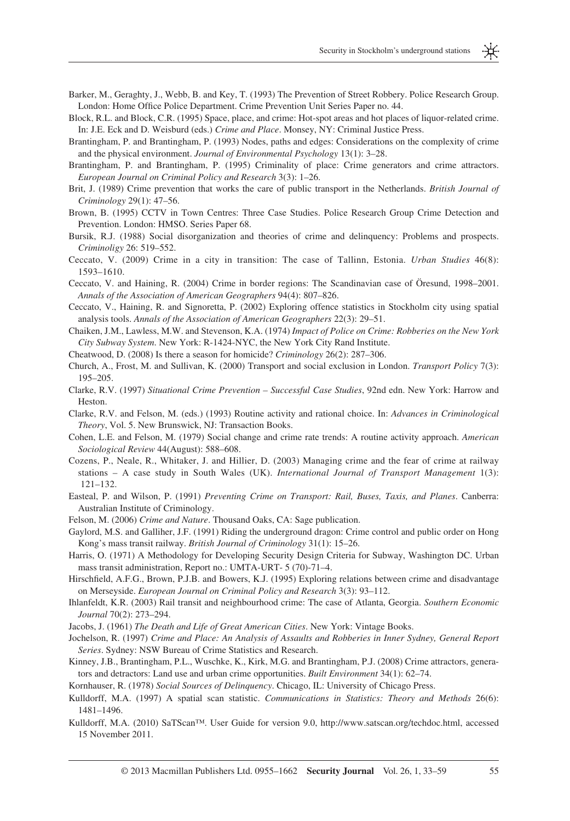Security in Stockholm's underground stations

- Barker, M., Geraghty, J., Webb, B. and Key, T. (1993) The Prevention of Street Robbery. Police Research Group. London: Home Office Police Department. Crime Prevention Unit Series Paper no. 44.
- Block, R.L. and Block, C.R. (1995) Space, place, and crime: Hot-spot areas and hot places of liquor-related crime. In: J.E. Eck and D. Weisburd (eds.) *Crime and Place* . Monsey, NY: Criminal Justice Press .
- Brantingham, P. and Brantingham, P. (1993) Nodes, paths and edges: Considerations on the complexity of crime and the physical environment. *Journal of Environmental Psychology* 13(1): 3-28.
- Brantingham, P. and Brantingham, P. (1995) Criminality of place: Crime generators and crime attractors. *European Journal on Criminal Policy and Research* 3(3): 1–26.
- Brit, J. (1989) Crime prevention that works the care of public transport in the Netherlands. *British Journal of Criminology* 29(1): 47–56.
- Brown, B. (1995) CCTV in Town Centres: Three Case Studies. Police Research Group Crime Detection and Prevention. London: HMSO. Series Paper 68 .
- Bursik, R.J. (1988) Social disorganization and theories of crime and delinquency: Problems and prospects. *Criminoligy* 26: 519–552.
- Ceccato, V. (2009) Crime in a city in transition: The case of Tallinn, Estonia. *Urban Studies* 46(8): 1593-1610.
- Ceccato, V. and Haining, R. (2004) Crime in border regions: The Scandinavian case of Öresund, 1998–2001. Annals of the Association of American Geographers 94(4): 807–826.
- Ceccato, V., Haining, R. and Signoretta, P. (2002) Exploring offence statistics in Stockholm city using spatial analysis tools. *Annals of the Association of American Geographers* 22(3): 29–51.
- Chaiken, J.M., Lawless, M.W. and Stevenson, K.A. (1974) *Impact of Police on Crime: Robberies on the New York City Subway System* . New York: R-1424-NYC, the New York City Rand Institute .
- Cheatwood, D. (2008) Is there a season for homicide? *Criminology* 26(2): 287–306.
- Church, A., Frost, M. and Sullivan, K. (2000) Transport and social exclusion in London. *Transport Policy* 7(3): 195 – 205.
- Clarke, R.V. (1997) Situational Crime Prevention Successful Case Studies, 92nd edn. New York: Harrow and Heston .
- Clarke, R.V. and Felson, M. (eds.) (1993) Routine activity and rational choice. In: *Advances in Criminological* Theory, Vol. 5. New Brunswick, NJ: Transaction Books.
- Cohen, L.E. and Felson, M. (1979) Social change and crime rate trends: A routine activity approach. *American* Sociological Review 44(August): 588-608.
- Cozens, P., Neale, R., Whitaker, J. and Hillier, D. (2003) Managing crime and the fear of crime at railway stations – A case study in South Wales (UK). *International Journal of Transport Management* 1(3):  $121 - 132.$
- Easteal, P. and Wilson, P. (1991) *Preventing Crime on Transport: Rail, Buses, Taxis, and Planes*. Canberra: Australian Institute of Criminology .
- Felson, M. (2006) *Crime and Nature*. Thousand Oaks, CA: Sage publication.
- Gaylord, M.S. and Galliher, J.F. (1991) Riding the underground dragon: Crime control and public order on Hong Kong's mass transit railway. *British Journal of Criminology* 31(1): 15-26.
- Harris, O. (1971) A Methodology for Developing Security Design Criteria for Subway, Washington DC. Urban mass transit administration, Report no.: UMTA-URT- 5 (70)-71-4.
- Hirschfield, A.F.G., Brown, P.J.B. and Bowers, K.J. (1995) Exploring relations between crime and disadvantage on Merseyside. *European Journal on Criminal Policy and Research* 3(3): 93-112.
- Ihlanfeldt, K.R. (2003) Rail transit and neighbourhood crime: The case of Atlanta, Georgia. *Southern Economic* Journal 70(2): 273-294.
- Jacobs , J . ( 1961 ) *The Death and Life of Great American Cities* . New York: Vintage Books .
- Jochelson , R . ( 1997 ) *Crime and Place: An Analysis of Assaults and Robberies in Inner Sydney, General Report Series* . Sydney: NSW Bureau of Crime Statistics and Research .
- Kinney, J.B., Brantingham, P.L., Wuschke, K., Kirk, M.G. and Brantingham, P.J. (2008) Crime attractors, generators and detractors: Land use and urban crime opportunities. *Built Environment* 34(1): 62–74.
- Kornhauser , R . ( 1978 ) *Social Sources of Delinquency* . Chicago, IL: University of Chicago Press .
- Kulldorff, M.A. (1997) A spatial scan statistic. *Communications in Statistics: Theory and Methods* 26(6): 1481-1496.
- Kulldorff, M.A. (2010) SaTScan<sup>TM</sup>. User Guide for version 9.0, http://www.satscan.org/techdoc.html, accessed 15 November 2011 .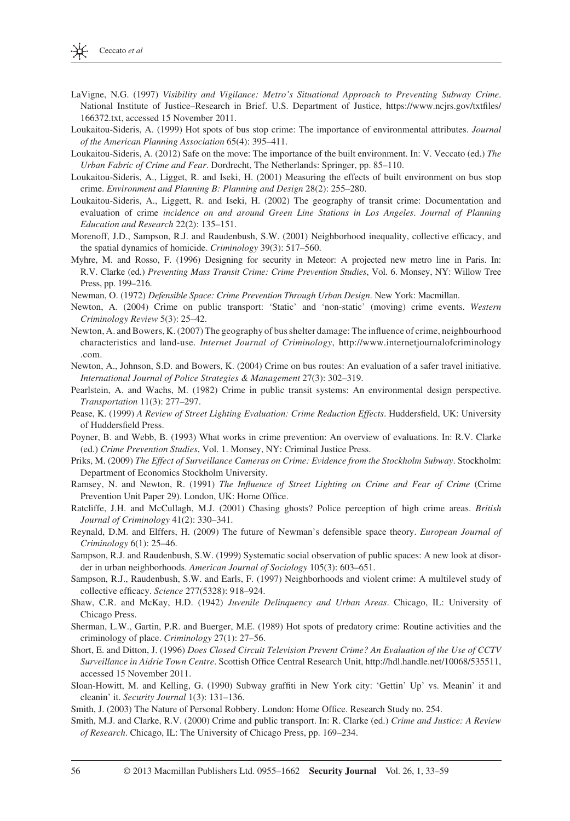

- LaVigne, N.G. (1997) *Visibility and Vigilance: Metro's Situational Approach to Preventing Subway Crime.* National Institute of Justice-Research in Brief. U.S. Department of Justice, https://www.ncjrs.gov/txtfiles/ 166372.txt, accessed 15 November 2011.
- Loukaitou-Sideris , A . ( 1999 ) Hot spots of bus stop crime: The importance of environmental attributes . *Journal*  of the American Planning Association 65(4): 395-411.
- Loukaitou-Sideris, A. (2012) Safe on the move: The importance of the built environment. In: V. Veccato (ed.) *The Urban Fabric of Crime and Fear*. Dordrecht, The Netherlands: Springer, pp. 85-110.
- Loukaitou-Sideris, A., Ligget, R. and Iseki, H. (2001) Measuring the effects of built environment on bus stop crime. *Environment and Planning B: Planning and Design* 28(2): 255-280.
- Loukaitou-Sideris, A., Liggett, R. and Iseki, H. (2002) The geography of transit crime: Documentation and evaluation of crime *incidence on and around Green Line Stations in Los Angeles* . *Journal of Planning Education and Research 22(2): 135-151.*
- Morenoff, J.D., Sampson, R.J. and Raudenbush, S.W. (2001) Neighborhood inequality, collective efficacy, and the spatial dynamics of homicide. *Criminology* 39(3): 517–560.
- Myhre, M. and Rosso, F. (1996) Designing for security in Meteor: A projected new metro line in Paris. In: R.V. Clarke (ed.) *Preventing Mass Transit Crime: Crime Prevention Studies* , Vol. 6 . Monsey, NY: Willow Tree Press, pp. 199–216.
- Newman , O . ( 1972 ) *Defensible Space: Crime Prevention Through Urban Design* . New York: Macmillan .
- Newton, A. (2004) Crime on public transport: 'Static' and 'non-static' (moving) crime events. Western *Criminology Review* 5(3): 25–42.
- Newton, A. and Bowers, K. (2007) The geography of bus shelter damage: The influence of crime, neighbourhood characteristics and land-use . *Internet Journal of Criminology* , http://www.internetjournalofcriminology .com .
- Newton, A., Johnson, S.D. and Bowers, K. (2004) Crime on bus routes: An evaluation of a safer travel initiative. International Journal of Police Strategies & Management 27(3): 302-319.
- Pearlstein, A. and Wachs, M. (1982) Crime in public transit systems: An environmental design perspective. *Transportation* 11(3): 277-297.
- Pease, K. (1999) *A Review of Street Lighting Evaluation: Crime Reduction Effects*. Huddersfield, UK: University of Huddersfield Press.
- Poyner, B. and Webb, B. (1993) What works in crime prevention: An overview of evaluations. In: R.V. Clarke (ed.) *Crime Prevention Studies* , Vol. 1. Monsey, NY: Criminal Justice Press .
- Priks , M . ( 2009 ) *The Effect of Surveillance Cameras on Crime: Evidence from the Stockholm Subway* . Stockholm: Department of Economics Stockholm University .
- Ramsey, N. and Newton, R. (1991) *The Influence of Street Lighting on Crime and Fear of Crime* (Crime Prevention Unit Paper 29). London, UK: Home Office.
- Ratcliffe, J.H. and McCullagh, M.J. (2001) Chasing ghosts? Police perception of high crime areas. *British Journal of Criminology* 41(2): 330-341.
- Reynald, D.M. and Elffers, H. (2009) The future of Newman's defensible space theory. *European Journal of Criminology* 6(1): 25-46.
- Sampson, R.J. and Raudenbush, S.W. (1999) Systematic social observation of public spaces: A new look at disorder in urban neighborhoods. *American Journal of Sociology* 105(3): 603-651.
- Sampson, R.J., Raudenbush, S.W. and Earls, F. (1997) Neighborhoods and violent crime: A multilevel study of collective efficacy. *Science* 277(5328): 918-924.
- Shaw, C.R. and McKay, H.D. (1942) *Juvenile Delinquency and Urban Areas*. Chicago, IL: University of Chicago Press.
- Sherman, L.W., Gartin, P.R. and Buerger, M.E. (1989) Hot spots of predatory crime: Routine activities and the criminology of place. *Criminology* 27(1): 27–56.
- Short , E . and Ditton , J . ( 1996 ) *Does Closed Circuit Television Prevent Crime? An Evaluation of the Use of CCTV Surveillance in Aidrie Town Centre.* Scottish Office Central Research Unit, http://hdl.handle.net/10068/535511, accessed 15 November 2011 .
- Sloan-Howitt, M. and Kelling, G. (1990) Subway graffiti in New York city: 'Gettin' Up' vs. Meanin' it and cleanin' it. *Security Journal* 1(3): 131-136.
- Smith, J. (2003) The Nature of Personal Robbery. London: Home Office. Research Study no. 254.
- Smith, M.J. and Clarke, R.V. (2000) Crime and public transport. In: R. Clarke (ed.) Crime and Justice: A Review *of Research*. Chicago, IL: The University of Chicago Press, pp. 169–234.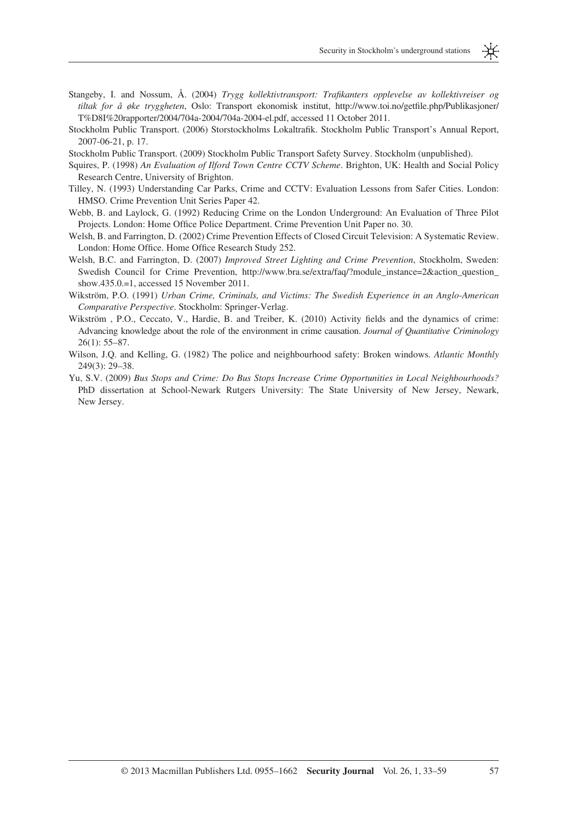- Stangeby, I. and Nossum, Å. (2004) *Trygg kollektivtransport: Trafikanters opplevelse av kollektivreiser og tiltak for å øke tryggheten*, Oslo: Transport ekonomisk institut, http://www.toi.no/getfile.php/Publikasjoner/ T%D8I%20rapporter/2004/704a-2004/704a-2004-el.pdf, accessed 11 October 2011.
- Stockholm Public Transport. (2006) Storstockholms Lokaltrafik. Stockholm Public Transport's Annual Report, 2007-06-21, p. 17.

Stockholm Public Transport . ( 2009 ) Stockholm Public Transport Safety Survey . Stockholm (unpublished) .

- Squires, P. (1998) *An Evaluation of Ilford Town Centre CCTV Scheme*. Brighton, UK: Health and Social Policy Research Centre, University of Brighton.
- Tilley, N. (1993) Understanding Car Parks, Crime and CCTV: Evaluation Lessons from Safer Cities. London: HMSO. Crime Prevention Unit Series Paper 42 .
- Webb, B. and Laylock, G. (1992) Reducing Crime on the London Underground: An Evaluation of Three Pilot Projects. London: Home Office Police Department. Crime Prevention Unit Paper no. 30.
- Welsh, B. and Farrington, D. (2002) Crime Prevention Effects of Closed Circuit Television: A Systematic Review. London: Home Office. Home Office Research Study 252.
- Welsh, B.C. and Farrington, D. (2007) *Improved Street Lighting and Crime Prevention*, Stockholm, Sweden: Swedish Council for Crime Prevention, http://www.bra.se/extra/faq/?module\_instance=2&action\_question\_ show.435.0.=1, accessed 15 November 2011.
- Wikström, P.O. (1991) *Urban Crime, Criminals, and Victims: The Swedish Experience in an Anglo-American Comparative Perspective*. Stockholm: Springer-Verlag.
- Wikström , P.O., Ceccato, V., Hardie, B. and Treiber, K. (2010) Activity fields and the dynamics of crime: Advancing knowledge about the role of the environment in crime causation . *Journal of Quantitative Criminology*  $26(1)$ : 55-87.
- Wilson, J.Q. and Kelling, G. (1982) The police and neighbourhood safety: Broken windows. *Atlantic Monthly* 249(3): 29-38.
- Yu, S.V. (2009) *Bus Stops and Crime: Do Bus Stops Increase Crime Opportunities in Local Neighbourhoods?* PhD dissertation at School-Newark Rutgers University: The State University of New Jersey, Newark, New Jersey.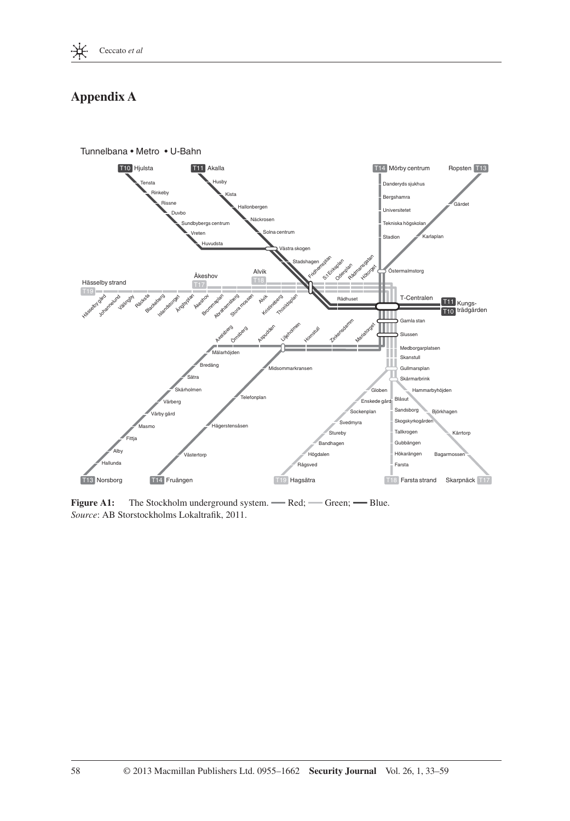

## **Appendix A**



**Figure A1:** The Stockholm underground system. - Red; - Green; - Blue. *Source*: AB Storstockholms Lokaltrafik, 2011.